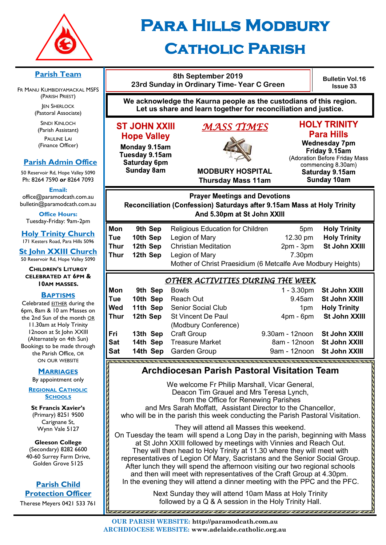

# **Para Hills Modbury Catholic Parish**

#### **8th September 2019 Bulletin Vol.16 23rd Sunday in Ordinary Time- Year C Green Issue 33** (PARISH PRIEST) **We acknowledge the Kaurna people as the custodians of this region. JEN SHERLOCK Let us share and learn together for reconciliation and justice.** (Pastoral Associate) SINDI KINLOCH **HOLY TRINITY ST JOHN XXIII** *MASS TIMES*  **Para Hills Hope Valley** PAULINE LAI **Wednesday 7pm** Monday 9.15am Friday 9.15am Tuesday 9.15am (Adoration Before Friday Mass Saturday 6pm commencing 8.30am) **Sunday 8am MODBURY HOSPITAL** Saturday 9.15am **Thursday Mass 11am Sunday 10am Email: Prayer Meetings and Devotions** Reconciliation (Confession) Saturdays after 9.15am Mass at Holy Trinity And 5.30pm at St John XXIII **Office Hours: Mon** 9th Sep Religious Education for Children 5pm Holy Trinity **Tue 10th Sep** Legion of Mary 12.30 pm **Holy Trinity Thur 12th Sep** Christian Meditation 2pm - 3pm **St John XXIII Thur 12th Sep** Legion of Mary **7.30pm** 50 Reservoir Rd, Hope Valley 5090 Mother of Christ Praesidium (6 Metcalfe Ave Modbury Heights) *OTHER ACTIVITIES DURING THE WEEK*  **Mon** 9th Sep Bowls 1 - 3.30pm **St John XXIII BAPTISMS Tue 10th Sep** Reach Out 9.45am **St John XXIII Wed 11th Sep** Senior Social Club 1pm **Holy Trinity Thur 12th Sep** St Vincent De Paul 4pm - 6pm **St John XXIII** (Modbury Conference) **Fri 13th Sep** Craft Group 9.30am - 12noon **St John XXIII Sat 14th Sep** Treasure Market **8am - 12noon St John XXIII Sat 14th Sep** Garden Group 9am - 12noon **St John XXIII Archdiocesan Parish Pastoral Visitation Team MARRIAGES** We welcome Fr Philip Marshall, Vicar General,

Deacon Tim Grauel and Mrs Teresa Lynch, from the Office for Renewing Parishes and Mrs Sarah Moffatt, Assistant Director to the Chancellor, who will be in the parish this week conducting the Parish Pastoral Visitation.

They will attend all Masses this weekend. On Tuesday the team will spend a Long Day in the parish, beginning with Mass at St John XXIII followed by meetings with Vinnies and Reach Out. They will then head to Holy Trinity at 11.30 where they will meet with representatives of Legion Of Mary, Sacristans and the Senior Social Group. After lunch they will spend the afternoon visiting our two regional schools and then will meet with representatives of the Craft Group at 4.30pm. In the evening they will attend a dinner meeting with the PPC and the PFC.

> Next Sunday they will attend 10am Mass at Holy Trinity followed by a Q & A session in the Holy Trinity Hall.

#### **Parish Team**

FR MANU KUMBIDIYAMACKAL MSFS

(Parish Assistant) (Finance Officer)

# **Parish Admin Office**

50 Reservoir Rd, Hope Valley 5090 Ph: 8264 7590 *or* 8264 7093

office@paramodcath.com.au bulletin@paramodcath.com.au

Tuesday-Friday: 9am-2pm

**Holy Trinity Church** 171 Kesters Road, Para Hills 5096

**St John XXIII Church**

**CHILDREN'S LITURGY CELEBRATED AT 6PM & 10AM MASSES.**

Celebrated EITHER during the 6pm, 8am & 10 am Masses on the 2nd Sun of the month OR 11.30am at Holy Trinity 12noon at St John XXIII (Alternately on 4th Sun) Bookings to be made through the Parish Office, OR ON OUR WEBSITE

By appointment only

**REGIONAL CATHOLIC SCHOOLS**

**St Francis Xavier's**  (Primary) 8251 9500 Carignane St, Wynn Vale 5127

**Gleeson College**  (Secondary) 8282 6600 40-60 Surrey Farm Drive, Golden Grove 5125

#### **Parish Child Protection Officer**

Therese Meyers 0421 533 761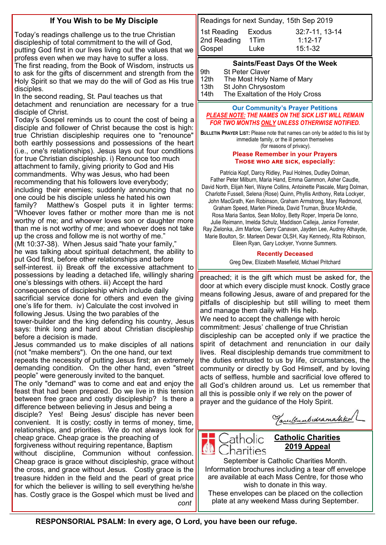### **If You Wish to be My Disciple**

Today's readings challenge us to the true Christian discipleship of total commitment to the will of God, putting God first in our lives living out the values that we profess even when we may have to suffer a loss.

The first reading, from the Book of Wisdom, instructs us to ask for the gifts of discernment and strength from the Holy Spirit so that we may do the will of God as His true disciples.

In the second reading, St. Paul teaches us that detachment and renunciation are necessary for a true disciple of Christ.

Today's Gospel reminds us to count the cost of being a disciple and follower of Christ because the cost is high: true Christian discipleship requires one to "renounce" both earthly possessions and possessions of the heart (i.e., one's relationships). Jesus lays out four conditions for true Christian discipleship. i) Renounce too much attachment to family, giving priority to God and His commandments. Why was Jesus, who had been recommending that his followers love everybody; including their enemies; suddenly announcing that no one could be his disciple unless he hated his own family? Matthew's Gospel puts it in lighter terms: "Whoever loves father or mother more than me is not worthy of me; and whoever loves son or daughter more than me is not worthy of me; and whoever does not take up the cross and follow me is not worthy of me."

(Mt 10:37-38). When Jesus said "hate your family," he was talking about spiritual detachment, the ability to put God first, before other relationships and before self-interest. ii) Break off the excessive attachment to possessions by leading a detached life, willingly sharing

one's blessings with others. iii) Accept the hard consequences of discipleship which include daily sacrificial service done for others and even the giving one's life for them. iv) Calculate the cost involved in following Jesus. Using the two parables of the tower-builder and the king defending his country, Jesus says: think long and hard about Christian discipleship

before a decision is made. Jesus commanded us to make disciples of all nations

(not "make members"). On the one hand, our text repeats the necessity of putting Jesus first; an extremely demanding condition. On the other hand, even "street

people" were generously invited to the banquet. The only "demand" was to come and eat and enjoy the

feast that had been prepared. Do we live in this tension between free grace and costly discipleship? Is there a difference between believing in Jesus and being a disciple? Yes! Being Jesus' disciple has never been

convenient. It is costly; costly in terms of money, time, relationships, and priorities. We do not always look for cheap grace. Cheap grace is the preaching of

forgiveness without requiring repentance, Baptism without discipline, Communion without confession. Cheap grace is grace without discipleship, grace without the cross, and grace without Jesus. Costly grace is the treasure hidden in the field and the pearl of great price for which the believer is willing to sell everything he/she has. Costly grace is the Gospel which must be lived and *cont*

| Readings for next Sunday, 15th Sep 2019 |                |
|-----------------------------------------|----------------|
| Exodus                                  | 32:7-11, 13-14 |
| 1Tim                                    | $1.12 - 17$    |
| Luke                                    | $15:1-32$      |
|                                         |                |

#### **Saints/Feast Days Of the Week**

9th St Peter Claver 12th The Most Holy Name of Mary 13th St John Chrysostom 14th The Exaltation of the Holy Cross

#### **Our Community's Prayer Petitions**  *PLEASE NOTE: THE NAMES ON THE SICK LIST WILL REMAIN FOR TWO MONTHS ONLY UNLESS OTHERWISE NOTIFIED.*

**BULLETIN PRAYER LIST:** Please note that names can only be added to this list by immediate family, or the ill person themselves (for reasons of privacy).

#### **Please Remember in your Prayers Those who are sick, especially:**

Patricia Kopf, Darcy Ridley, Paul Holmes, Dudley Dolman, Father Peter Milburn, Maria Hand, Emma Gammon, Asher Caudle, David North, Elijah Neri, Wayne Collins, Antoinette Pascale, Marg Dolman, Charlotte Fussell, Selena (Rose) Quinn, Phyllis Anthony, Reta Lockyer, John MacGrath, Ken Robinson, Graham Armstrong, Mary Redmond, Graham Speed, Marlen Piineda, David Truman, Bruce McAndie, Rosa Maria Santos, Sean Molloy, Betty Roper, Imperia De Ionno, Julie Reimann, Imelda Schulz, Maddison Calleja, Janice Forrester, Ray Zielonka, Jim Marlow, Gerry Canavan, Jayden Lee, Audrey Athayde, Marie Boulton, Sr. Marleen Dewar OLSH, Kay Kennedy, Rita Robinson, Eileen Ryan, Gary Lockyer, Yvonne Summers.

#### **Recently Deceased**

Greg Dew, Elizabeth Masefield, Michael Pritchard

preached; it is the gift which must be asked for, the door at which every disciple must knock. Costly grace means following Jesus, aware of and prepared for the pitfalls of discipleship but still willing to meet them and manage them daily with His help. We need to accept the challenge with heroic commitment: Jesus' challenge of true Christian discipleship can be accepted only if we practice the spirit of detachment and renunciation in our daily lives. Real discipleship demands true commitment to the duties entrusted to us by life, circumstances, the community or directly by God Himself, and by loving acts of selfless, humble and sacrificial love offered to all God's children around us. Let us remember that all this is possible only if we rely on the power of prayer and the guidance of the Holy Spirit.

Varilkumbidramatakal

# Catholic harities

#### **Catholic Charities 2019 Appeal**

September is Catholic Charities Month. Information brochures including a tear off envelope are available at each Mass Centre, for those who wish to donate in this way.

These envelopes can be placed on the collection plate at any weekend Mass during September.

**RESPONSORIAL PSALM: In every age, O Lord, you have been our refuge.**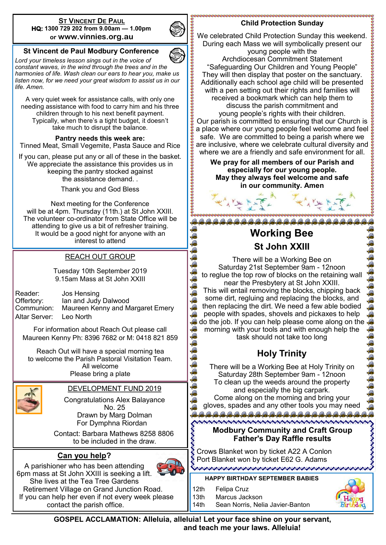#### **ST VINCENT DE PAUL HQ: 1300 729 202 from 9.00am — 1.00pm or www.vinnies.org.au**



网 G 命  $\mathscr{R}$ G 命 G

氟 G

#### **St Vincent de Paul Modbury Conference**

*Lord your timeless lesson sings out in the voice of constant waves, in the wind through the trees and in the harmonies of life. Wash clean our ears to hear you, make us listen now, for we need your great wisdom to assist us in our life. Amen.*

A very quiet week for assistance calls, with only one needing assistance with food to carry him and his three children through to his next benefit payment. Typically, when there's a tight budget, it doesn't take much to disrupt the balance.

**Pantry needs this week are:**  Tinned Meat, Small Vegemite, Pasta Sauce and Rice

If you can, please put any or all of these in the basket. We appreciate the assistance this provides us in keeping the pantry stocked against the assistance demand. .

Thank you and God Bless

Next meeting for the Conference will be at 4pm. Thursday (11th.) at St John XXIII. The volunteer co-ordinator from State Office will be attending to give us a bit of refresher training. It would be a good night for anyone with an interest to attend

#### REACH OUT GROUP

Tuesday 10th September 2019 9.15am Mass at St John XXIII

Reader: Jos Hensing Offertory: Ian and Judy Dalwood Communion: Maureen Kenny and Margaret Emery Altar Server: Leo North

For information about Reach Out please call Maureen Kenny Ph: 8396 7682 or M: 0418 821 859

Reach Out will have a special morning tea to welcome the Parish Pastoral Visitation Team. All welcome Please bring a plate



DEVELOPMENT FUND 2019

Congratulations Alex Balayance No. 25 Drawn by Marg Dolman For Dymphna Riordan

 Contact: Barbara Mathews 8258 8806 to be included in the draw.

#### **Can you help?**



A parishioner who has been attending 6pm mass at St John XXIII is seeking a lift. She lives at the Tea Tree Gardens Retirement Village on Grand Junction Road. If you can help her even if not every week please contact the parish office.

#### **Child Protection Sunday**

We celebrated Child Protection Sunday this weekend. 我要安排学校参考教授教授教授学校学校教授教授教授 During each Mass we will symbolically present our young people with the Archdiocesan Commitment Statement "Safeguarding Our Children and Young People" They will then display that poster on the sanctuary. Additionally each school age child will be presented with a pen setting out their rights and families will received a bookmark which can help them to discuss the parish commitment and young people's rights with their children. Our parish is committed to ensuring that our Church is a place where our young people feel welcome and feel safe. We are committed to being a parish where we are inclusive, where we celebrate cultural diversity and where we are a friendly and safe environment for all.

**We pray for all members of our Parish and especially for our young people. May they always feel welcome and safe in our community. Amen**

**Working Bee St John XXIII** There will be a Working Bee on

Saturday 21st September 9am - 12noon to reglue the top row of blocks on the retaining wall near the Presbytery at St John XXIII.

This will entail removing the blocks, chipping back some dirt, regluing and replacing the blocks, and then replacing the dirt. We need a few able bodied people with spades, shovels and pickaxes to help do the job. If you can help please come along on the morning with your tools and with enough help the task should not take too long

# **Holy Trinity**

There will be a Working Bee at Holy Trinity on Saturday 28th September 9am - 12noon To clean up the weeds around the property and especially the big carpark. Come along on the morning and bring your gloves, spades and any other tools you may need 

#### **Modbury Community and Craft Group Father's Day Raffle results**

ೲೲೲೲೲೲೲೲೲೲೲೲೲೲೲೲೲೲೲೲೲೲೲೲೲೲೲೲೲೲೲೲೲೲೲೲ

Crows Blanket won by ticket A22 A Conlon S Port Blanket won by ticket E62 G. Adams<br>September worden worden worden worden worden worden

#### **HAPPY BIRTHDAY SEPTEMBER BABIES**

14th Sean Norris, Nelia Javier-Banton

- 12th Felipa Cruz
- 13th Marcus Jackson



あわわるあわめある

**GOSPEL ACCLAMATION: Alleluia, alleluia! Let your face shine on your servant,** 

**and teach me your laws. Alleluia!**